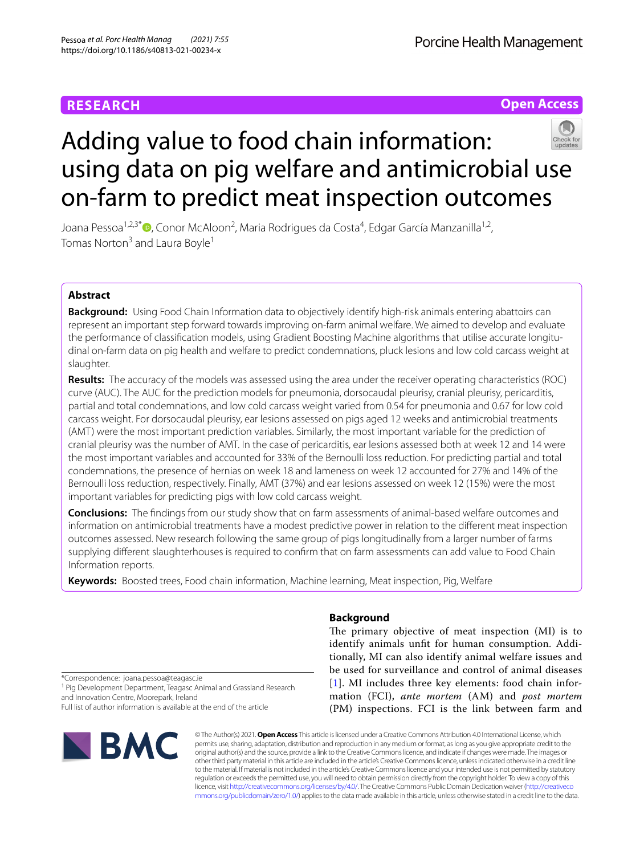# **RESEARCH**

Porcine Health Management

**Open Access**

# Adding value to food chain information: using data on pig welfare and antimicrobial use on-farm to predict meat inspection outcomes

Joana Pessoa<sup>1,2,3\*</sup>®[,](http://orcid.org/0000-0002-8959-9333) Conor McAloon<sup>2</sup>, Maria Rodrigues da Costa<sup>4</sup>, Edgar García Manzanilla<sup>1,2</sup>, Tomas Norton<sup>3</sup> and Laura Boyle<sup>1</sup>

# **Abstract**

**Background:** Using Food Chain Information data to objectively identify high-risk animals entering abattoirs can represent an important step forward towards improving on-farm animal welfare. We aimed to develop and evaluate the performance of classifcation models, using Gradient Boosting Machine algorithms that utilise accurate longitudinal on-farm data on pig health and welfare to predict condemnations, pluck lesions and low cold carcass weight at slaughter.

**Results:** The accuracy of the models was assessed using the area under the receiver operating characteristics (ROC) curve (AUC). The AUC for the prediction models for pneumonia, dorsocaudal pleurisy, cranial pleurisy, pericarditis, partial and total condemnations, and low cold carcass weight varied from 0.54 for pneumonia and 0.67 for low cold carcass weight. For dorsocaudal pleurisy, ear lesions assessed on pigs aged 12 weeks and antimicrobial treatments (AMT) were the most important prediction variables. Similarly, the most important variable for the prediction of cranial pleurisy was the number of AMT. In the case of pericarditis, ear lesions assessed both at week 12 and 14 were the most important variables and accounted for 33% of the Bernoulli loss reduction. For predicting partial and total condemnations, the presence of hernias on week 18 and lameness on week 12 accounted for 27% and 14% of the Bernoulli loss reduction, respectively. Finally, AMT (37%) and ear lesions assessed on week 12 (15%) were the most important variables for predicting pigs with low cold carcass weight.

**Conclusions:** The fndings from our study show that on farm assessments of animal-based welfare outcomes and information on antimicrobial treatments have a modest predictive power in relation to the diferent meat inspection outcomes assessed. New research following the same group of pigs longitudinally from a larger number of farms supplying diferent slaughterhouses is required to confrm that on farm assessments can add value to Food Chain Information reports.

**Keywords:** Boosted trees, Food chain information, Machine learning, Meat inspection, Pig, Welfare

## **Background**

The primary objective of meat inspection (MI) is to identify animals unft for human consumption. Additionally, MI can also identify animal welfare issues and be used for surveillance and control of animal diseases [[1](#page-7-0)]. MI includes three key elements: food chain information (FCI), *ante mortem* (AM) and *post mortem* (PM) inspections. FCI is the link between farm and

\*Correspondence: joana.pessoa@teagasc.ie

<sup>1</sup> Pig Development Department, Teagasc Animal and Grassland Research and Innovation Centre, Moorepark, Ireland

Full list of author information is available at the end of the article



© The Author(s) 2021. **Open Access** This article is licensed under a Creative Commons Attribution 4.0 International License, which permits use, sharing, adaptation, distribution and reproduction in any medium or format, as long as you give appropriate credit to the original author(s) and the source, provide a link to the Creative Commons licence, and indicate if changes were made. The images or other third party material in this article are included in the article's Creative Commons licence, unless indicated otherwise in a credit line to the material. If material is not included in the article's Creative Commons licence and your intended use is not permitted by statutory regulation or exceeds the permitted use, you will need to obtain permission directly from the copyright holder. To view a copy of this licence, visit [http://creativecommons.org/licenses/by/4.0/.](http://creativecommons.org/licenses/by/4.0/) The Creative Commons Public Domain Dedication waiver ([http://creativeco](http://creativecommons.org/publicdomain/zero/1.0/) [mmons.org/publicdomain/zero/1.0/](http://creativecommons.org/publicdomain/zero/1.0/)) applies to the data made available in this article, unless otherwise stated in a credit line to the data.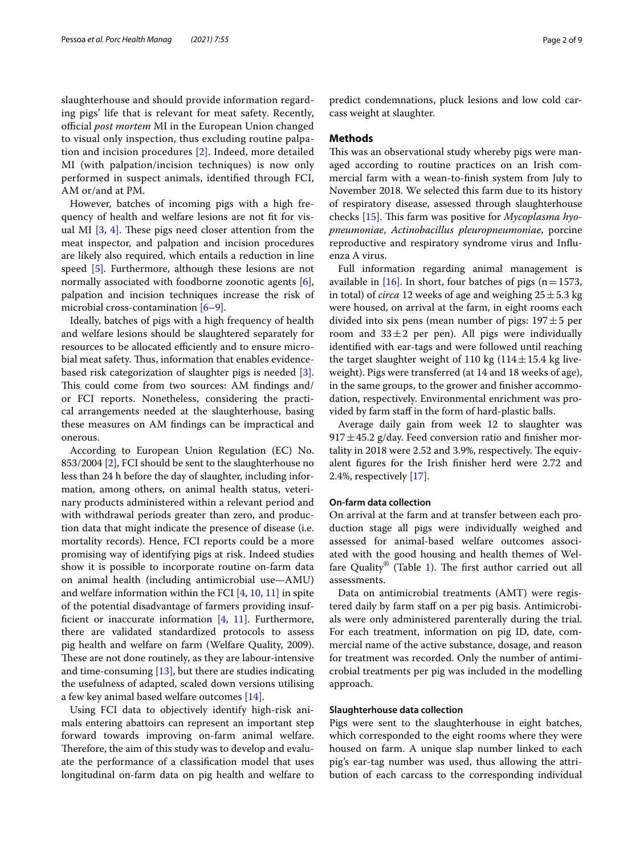slaughterhouse and should provide information regarding pigs' life that is relevant for meat safety. Recently, official *post mortem* MI in the European Union changed to visual only inspection, thus excluding routine palpation and incision procedures [\[2](#page-7-1)]. Indeed, more detailed MI (with palpation/incision techniques) is now only performed in suspect animals, identifed through FCI, AM or/and at PM.

However, batches of incoming pigs with a high frequency of health and welfare lesions are not ft for visual MI  $[3, 4]$  $[3, 4]$  $[3, 4]$ . These pigs need closer attention from the meat inspector, and palpation and incision procedures are likely also required, which entails a reduction in line speed [[5\]](#page-7-4). Furthermore, although these lesions are not normally associated with foodborne zoonotic agents [\[6](#page-7-5)], palpation and incision techniques increase the risk of microbial cross-contamination  $[6-9]$  $[6-9]$ .

Ideally, batches of pigs with a high frequency of health and welfare lesions should be slaughtered separately for resources to be allocated efficiently and to ensure microbial meat safety. Thus, information that enables evidencebased risk categorization of slaughter pigs is needed [\[3](#page-7-2)]. This could come from two sources: AM findings and/ or FCI reports. Nonetheless, considering the practical arrangements needed at the slaughterhouse, basing these measures on AM fndings can be impractical and onerous.

According to European Union Regulation (EC) No. 853/2004 [\[2\]](#page-7-1), FCI should be sent to the slaughterhouse no less than 24 h before the day of slaughter, including information, among others, on animal health status, veterinary products administered within a relevant period and with withdrawal periods greater than zero, and production data that might indicate the presence of disease (i.e. mortality records). Hence, FCI reports could be a more promising way of identifying pigs at risk. Indeed studies show it is possible to incorporate routine on-farm data on animal health (including antimicrobial use—AMU) and welfare information within the FCI [[4,](#page-7-3) [10](#page-7-7), [11](#page-7-8)] in spite of the potential disadvantage of farmers providing insufficient or inaccurate information  $[4, 11]$  $[4, 11]$  $[4, 11]$ . Furthermore, there are validated standardized protocols to assess pig health and welfare on farm (Welfare Quality, 2009). These are not done routinely, as they are labour-intensive and time-consuming [[13\]](#page-7-9), but there are studies indicating the usefulness of adapted, scaled down versions utilising a few key animal based welfare outcomes [\[14](#page-7-10)].

Using FCI data to objectively identify high-risk animals entering abattoirs can represent an important step forward towards improving on-farm animal welfare. Therefore, the aim of this study was to develop and evaluate the performance of a classifcation model that uses longitudinal on-farm data on pig health and welfare to predict condemnations, pluck lesions and low cold carcass weight at slaughter.

#### **Methods**

This was an observational study whereby pigs were managed according to routine practices on an Irish commercial farm with a wean-to-fnish system from July to November 2018. We selected this farm due to its history of respiratory disease, assessed through slaughterhouse checks [\[15](#page-7-11)]. This farm was positive for *Mycoplasma hyopneumoniae*, *Actinobacillus pleuropneumoniae*, porcine reproductive and respiratory syndrome virus and Infuenza A virus.

Full information regarding animal management is available in  $[16]$ . In short, four batches of pigs (n=1573, in total) of *circa* 12 weeks of age and weighing  $25 \pm 5.3$  kg were housed, on arrival at the farm, in eight rooms each divided into six pens (mean number of pigs:  $197 \pm 5$  per room and  $33 \pm 2$  per pen). All pigs were individually identifed with ear-tags and were followed until reaching the target slaughter weight of 110 kg ( $114 \pm 15.4$  kg liveweight). Pigs were transferred (at 14 and 18 weeks of age), in the same groups, to the grower and fnisher accommodation, respectively. Environmental enrichment was provided by farm staff in the form of hard-plastic balls.

Average daily gain from week 12 to slaughter was  $917 \pm 45.2$  g/day. Feed conversion ratio and finisher mortality in 2018 were 2.52 and 3.9%, respectively. The equivalent fgures for the Irish fnisher herd were 2.72 and 2.4%, respectively [\[17\]](#page-7-13).

#### **On‑farm data collection**

On arrival at the farm and at transfer between each production stage all pigs were individually weighed and assessed for animal-based welfare outcomes associated with the good housing and health themes of Wel-fare Quality<sup>®</sup> (Table [1](#page-2-0)). The first author carried out all assessments.

Data on antimicrobial treatments (AMT) were registered daily by farm staff on a per pig basis. Antimicrobials were only administered parenterally during the trial. For each treatment, information on pig ID, date, commercial name of the active substance, dosage, and reason for treatment was recorded. Only the number of antimicrobial treatments per pig was included in the modelling approach.

#### **Slaughterhouse data collection**

Pigs were sent to the slaughterhouse in eight batches, which corresponded to the eight rooms where they were housed on farm. A unique slap number linked to each pig's ear-tag number was used, thus allowing the attribution of each carcass to the corresponding individual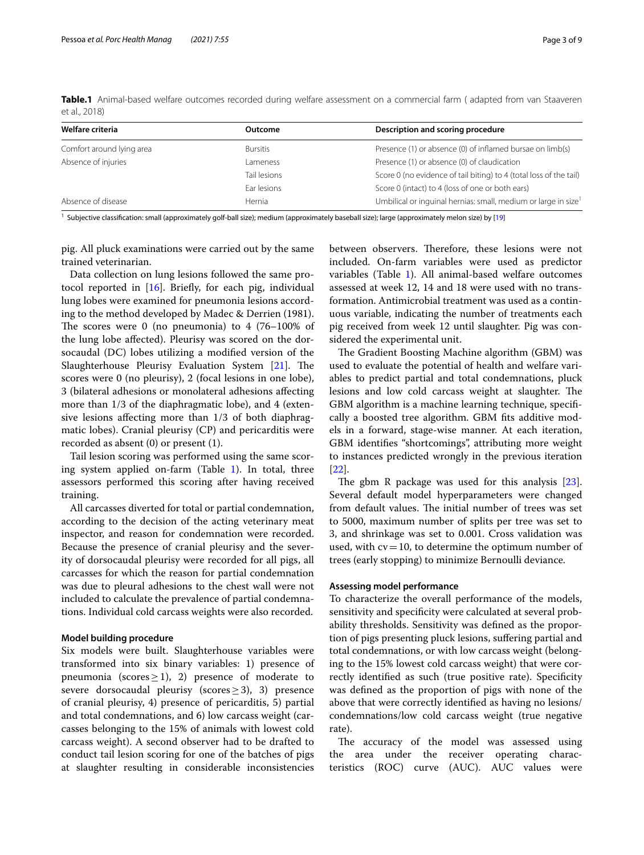<span id="page-2-0"></span>**Table.1** Animal-based welfare outcomes recorded during welfare assessment on a commercial farm ( adapted from van Staaveren et al., 2018)

| Welfare criteria          | Outcome         | Description and scoring procedure                                          |
|---------------------------|-----------------|----------------------------------------------------------------------------|
| Comfort around lying area | <b>Bursitis</b> | Presence (1) or absence (0) of inflamed bursae on limb(s)                  |
| Absence of injuries       | ameness         | Presence (1) or absence (0) of claudication                                |
|                           | Tail lesions    | Score 0 (no evidence of tail biting) to 4 (total loss of the tail)         |
|                           | Ear lesions     | Score 0 (intact) to 4 (loss of one or both ears)                           |
| Absence of disease        | Hernia          | Umbilical or inquinal hernias: small, medium or large in size <sup>1</sup> |

<sup>1</sup> Subjective classification: small (approximately golf-ball size); medium (approximately baseball size); large (approximately melon size) by [\[19\]](#page-7-17)

pig. All pluck examinations were carried out by the same trained veterinarian.

Data collection on lung lesions followed the same protocol reported in  $[16]$  $[16]$ . Briefly, for each pig, individual lung lobes were examined for pneumonia lesions according to the method developed by Madec & Derrien (1981). The scores were 0 (no pneumonia) to  $4(76-100\%)$  of the lung lobe afected). Pleurisy was scored on the dorsocaudal (DC) lobes utilizing a modifed version of the Slaughterhouse Pleurisy Evaluation System [\[21](#page-7-14)]. The scores were 0 (no pleurisy), 2 (focal lesions in one lobe), 3 (bilateral adhesions or monolateral adhesions afecting more than 1/3 of the diaphragmatic lobe), and 4 (extensive lesions afecting more than 1/3 of both diaphragmatic lobes). Cranial pleurisy (CP) and pericarditis were recorded as absent (0) or present (1).

Tail lesion scoring was performed using the same scoring system applied on-farm (Table [1](#page-2-0)). In total, three assessors performed this scoring after having received training.

All carcasses diverted for total or partial condemnation, according to the decision of the acting veterinary meat inspector, and reason for condemnation were recorded. Because the presence of cranial pleurisy and the severity of dorsocaudal pleurisy were recorded for all pigs, all carcasses for which the reason for partial condemnation was due to pleural adhesions to the chest wall were not included to calculate the prevalence of partial condemnations. Individual cold carcass weights were also recorded.

#### **Model building procedure**

Six models were built. Slaughterhouse variables were transformed into six binary variables: 1) presence of pneumonia (scores  $\geq$  1), 2) presence of moderate to severe dorsocaudal pleurisy (scores≥3), 3) presence of cranial pleurisy, 4) presence of pericarditis, 5) partial and total condemnations, and 6) low carcass weight (carcasses belonging to the 15% of animals with lowest cold carcass weight). A second observer had to be drafted to conduct tail lesion scoring for one of the batches of pigs at slaughter resulting in considerable inconsistencies between observers. Therefore, these lesions were not included. On-farm variables were used as predictor variables (Table [1\)](#page-2-0). All animal-based welfare outcomes assessed at week 12, 14 and 18 were used with no transformation. Antimicrobial treatment was used as a continuous variable, indicating the number of treatments each pig received from week 12 until slaughter. Pig was considered the experimental unit.

The Gradient Boosting Machine algorithm (GBM) was used to evaluate the potential of health and welfare variables to predict partial and total condemnations, pluck lesions and low cold carcass weight at slaughter. The GBM algorithm is a machine learning technique, specifcally a boosted tree algorithm. GBM fts additive models in a forward, stage-wise manner. At each iteration, GBM identifes "shortcomings", attributing more weight to instances predicted wrongly in the previous iteration [[22\]](#page-7-15).

The gbm R package was used for this analysis  $[23]$  $[23]$ . Several default model hyperparameters were changed from default values. The initial number of trees was set to 5000, maximum number of splits per tree was set to 3, and shrinkage was set to 0.001. Cross validation was used, with  $cv=10$ , to determine the optimum number of trees (early stopping) to minimize Bernoulli deviance.

#### **Assessing model performance**

To characterize the overall performance of the models, sensitivity and specifcity were calculated at several probability thresholds. Sensitivity was defned as the proportion of pigs presenting pluck lesions, sufering partial and total condemnations, or with low carcass weight (belonging to the 15% lowest cold carcass weight) that were correctly identifed as such (true positive rate). Specifcity was defned as the proportion of pigs with none of the above that were correctly identifed as having no lesions/ condemnations/low cold carcass weight (true negative rate).

The accuracy of the model was assessed using the area under the receiver operating characteristics (ROC) curve (AUC). AUC values were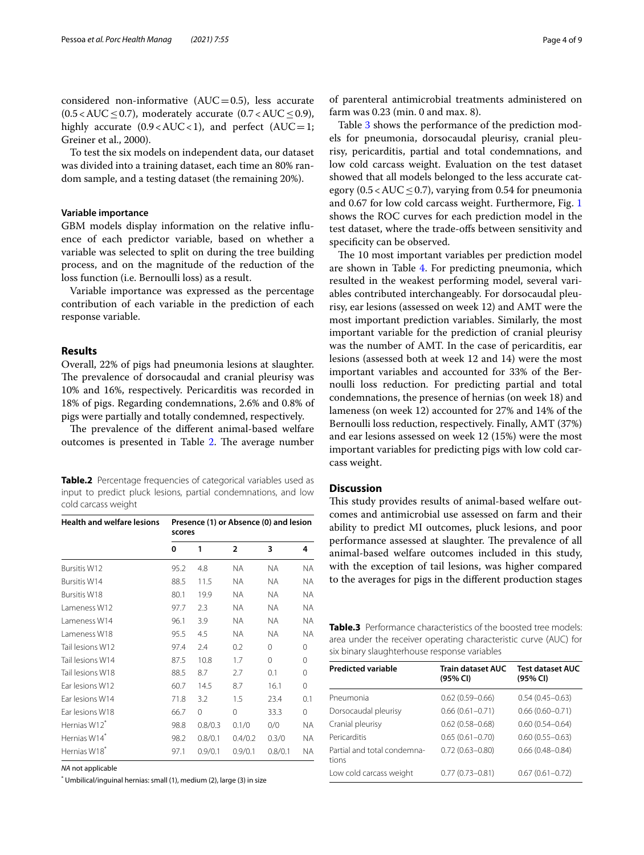considered non-informative  $(AUC=0.5)$ , less accurate  $(0.5 < AUC \leq 0.7)$ , moderately accurate  $(0.7 < AUC \leq 0.9)$ , highly accurate  $(0.9 < AUC < 1)$ , and perfect  $(AUC=1;$ Greiner et al., 2000).

To test the six models on independent data, our dataset was divided into a training dataset, each time an 80% random sample, and a testing dataset (the remaining 20%).

#### **Variable importance**

GBM models display information on the relative infuence of each predictor variable, based on whether a variable was selected to split on during the tree building process, and on the magnitude of the reduction of the loss function (i.e. Bernoulli loss) as a result.

Variable importance was expressed as the percentage contribution of each variable in the prediction of each response variable.

#### **Results**

Overall, 22% of pigs had pneumonia lesions at slaughter. The prevalence of dorsocaudal and cranial pleurisy was 10% and 16%, respectively. Pericarditis was recorded in 18% of pigs. Regarding condemnations, 2.6% and 0.8% of pigs were partially and totally condemned, respectively.

The prevalence of the different animal-based welfare outcomes is presented in Table [2.](#page-3-0) The average number

<span id="page-3-0"></span>

|                     |  |  | <b>Table.2</b> Percentage frequencies of categorical variables used as |  |  |
|---------------------|--|--|------------------------------------------------------------------------|--|--|
|                     |  |  | input to predict pluck lesions, partial condemnations, and low         |  |  |
| cold carcass weight |  |  |                                                                        |  |  |

| <b>Health and welfare lesions</b> | Presence (1) or Absence (0) and lesion<br>scores |          |                |           |          |  |
|-----------------------------------|--------------------------------------------------|----------|----------------|-----------|----------|--|
|                                   | 0                                                | 1        | $\overline{2}$ | 3         | 4        |  |
| Bursitis W12                      | 95.2                                             | 4.8      | NA.            | <b>NA</b> | NA.      |  |
| <b>Bursitis W14</b>               | 88.5                                             | 11.5     | ΝA             | NA.       | NA.      |  |
| <b>Bursitis W18</b>               | 80.1                                             | 19.9     | ΝA             | NA.       | NA.      |  |
| Lameness W12                      | 97.7                                             | 2.3      | ΝA             | NA.       | NA.      |  |
| Lameness W14                      | 96.1                                             | 3.9      | ΝA             | NA.       | NA.      |  |
| Lameness W18                      | 95.5                                             | 4.5      | <b>NA</b>      | <b>NA</b> | NA.      |  |
| Tail lesions W12                  | 97.4                                             | 7.4      | 0.2            | $\Omega$  | $\Omega$ |  |
| Tail lesions W14                  | 87.5                                             | 10.8     | 1.7            | 0         | $\Omega$ |  |
| Tail lesions W18                  | 88.5                                             | 8.7      | 2.7            | 0.1       | $\Omega$ |  |
| Far lesions W12                   | 60.7                                             | 14.5     | 8.7            | 16.1      | 0        |  |
| Ear lesions W14                   | 71.8                                             | 3.2      | 1.5            | 23.4      | 0.1      |  |
| Ear lesions W18                   | 66.7                                             | $\Omega$ | $\Omega$       | 33.3      | 0        |  |
| Hernias W12 <sup>*</sup>          | 98.8                                             | 0.8/0.3  | 0.1/0          | 0/0       | NA.      |  |
| Hernias W14*                      | 98.2                                             | 0.8/0.1  | 0.4/0.2        | 0.3/0     | NA.      |  |
| Hernias W18*                      | 97.1                                             | 0.9/0.1  | 0.9/0.1        | 0.8/0.1   | NA.      |  |

*NA* not applicable

\* Umbilical/inguinal hernias: small (1), medium (2), large (3) in size

of parenteral antimicrobial treatments administered on farm was 0.23 (min. 0 and max. 8).

Table [3](#page-3-1) shows the performance of the prediction models for pneumonia, dorsocaudal pleurisy, cranial pleurisy, pericarditis, partial and total condemnations, and low cold carcass weight. Evaluation on the test dataset showed that all models belonged to the less accurate category  $(0.5 < AUC < 0.7)$ , varying from 0.54 for pneumonia and 0.67 for low cold carcass weight. Furthermore, Fig. [1](#page-4-0) shows the ROC curves for each prediction model in the test dataset, where the trade-ofs between sensitivity and specificity can be observed.

The 10 most important variables per prediction model are shown in Table [4](#page-5-0). For predicting pneumonia, which resulted in the weakest performing model, several variables contributed interchangeably. For dorsocaudal pleurisy, ear lesions (assessed on week 12) and AMT were the most important prediction variables. Similarly, the most important variable for the prediction of cranial pleurisy was the number of AMT. In the case of pericarditis, ear lesions (assessed both at week 12 and 14) were the most important variables and accounted for 33% of the Bernoulli loss reduction. For predicting partial and total condemnations, the presence of hernias (on week 18) and lameness (on week 12) accounted for 27% and 14% of the Bernoulli loss reduction, respectively. Finally, AMT (37%) and ear lesions assessed on week 12 (15%) were the most important variables for predicting pigs with low cold carcass weight.

# **Discussion**

This study provides results of animal-based welfare outcomes and antimicrobial use assessed on farm and their ability to predict MI outcomes, pluck lesions, and poor performance assessed at slaughter. The prevalence of all animal-based welfare outcomes included in this study, with the exception of tail lesions, was higher compared to the averages for pigs in the diferent production stages

<span id="page-3-1"></span>**Table.3** Performance characteristics of the boosted tree models: area under the receiver operating characteristic curve (AUC) for six binary slaughterhouse response variables

| <b>Predicted variable</b>            | <b>Train dataset AUC</b><br>(95% CI) | <b>Test dataset AUC</b><br>(95% CI) |  |  |
|--------------------------------------|--------------------------------------|-------------------------------------|--|--|
| Pneumonia                            | $0.62(0.59 - 0.66)$                  | $0.54(0.45 - 0.63)$                 |  |  |
| Dorsocaudal pleurisy                 | $0.66(0.61 - 0.71)$                  | $0.66(0.60 - 0.71)$                 |  |  |
| Cranial pleurisy                     | $0.62(0.58 - 0.68)$                  | $0.60(0.54 - 0.64)$                 |  |  |
| Pericarditis                         | $0.65(0.61 - 0.70)$                  | $0.60(0.55 - 0.63)$                 |  |  |
| Partial and total condemna-<br>tions | $0.72(0.63 - 0.80)$                  | $0.66(0.48 - 0.84)$                 |  |  |
| Low cold carcass weight              | $0.77(0.73 - 0.81)$                  | $0.67(0.61 - 0.72)$                 |  |  |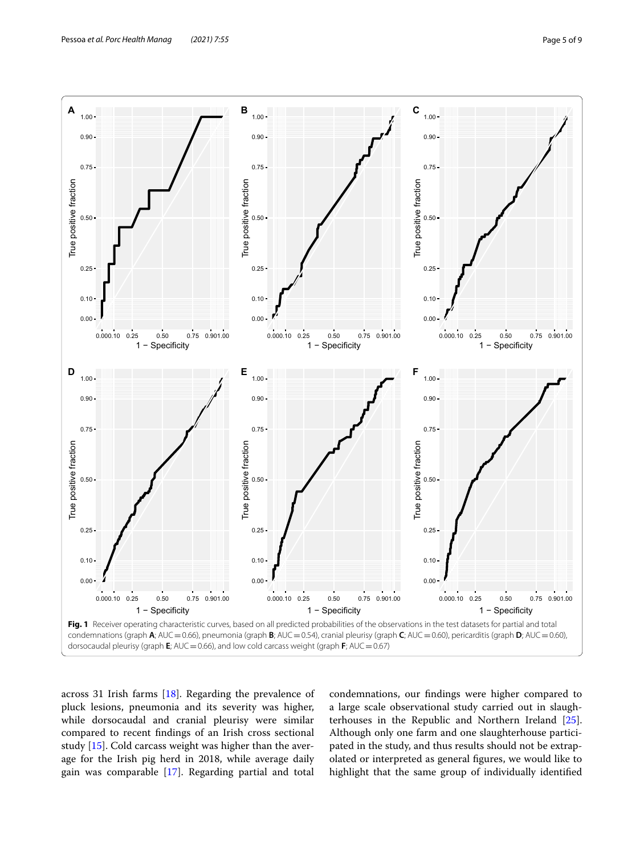

<span id="page-4-0"></span>across 31 Irish farms [\[18\]](#page-7-18). Regarding the prevalence of pluck lesions, pneumonia and its severity was higher, while dorsocaudal and cranial pleurisy were similar compared to recent fndings of an Irish cross sectional study [[15](#page-7-11)]. Cold carcass weight was higher than the average for the Irish pig herd in 2018, while average daily gain was comparable [\[17](#page-7-13)]. Regarding partial and total

condemnations, our fndings were higher compared to a large scale observational study carried out in slaughterhouses in the Republic and Northern Ireland [\[25](#page-7-19)]. Although only one farm and one slaughterhouse participated in the study, and thus results should not be extrapolated or interpreted as general fgures, we would like to highlight that the same group of individually identifed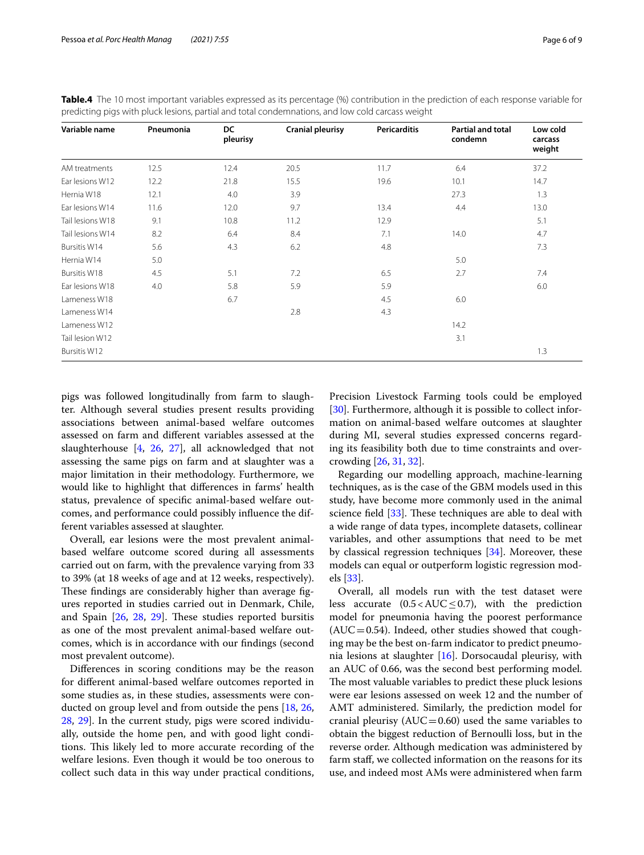| Variable name    | Pneumonia | DC<br>pleurisy | <b>Cranial pleurisy</b> | <b>Pericarditis</b> | <b>Partial and total</b><br>condemn | Low cold<br>carcass<br>weight |
|------------------|-----------|----------------|-------------------------|---------------------|-------------------------------------|-------------------------------|
| AM treatments    | 12.5      | 12.4           | 20.5                    | 11.7                | 6.4                                 | 37.2                          |
| Ear lesions W12  | 12.2      | 21.8           | 15.5                    | 19.6                | 10.1                                | 14.7                          |
| Hernia W18       | 12.1      | 4.0            | 3.9                     |                     | 27.3                                | 1.3                           |
| Ear lesions W14  | 11.6      | 12.0           | 9.7                     | 13.4                | 4.4                                 | 13.0                          |
| Tail lesions W18 | 9.1       | 10.8           | 11.2                    | 12.9                |                                     | 5.1                           |
| Tail lesions W14 | 8.2       | 6.4            | 8.4                     | 7.1                 | 14.0                                | 4.7                           |
| Bursitis W14     | 5.6       | 4.3            | 6.2                     | 4.8                 |                                     | 7.3                           |
| Hernia W14       | 5.0       |                |                         |                     | 5.0                                 |                               |
| Bursitis W18     | 4.5       | 5.1            | 7.2                     | 6.5                 | 2.7                                 | 7.4                           |
| Ear lesions W18  | 4.0       | 5.8            | 5.9                     | 5.9                 |                                     | 6.0                           |
| Lameness W18     |           | 6.7            |                         | 4.5                 | 6.0                                 |                               |
| Lameness W14     |           |                | 2.8                     | 4.3                 |                                     |                               |
| Lameness W12     |           |                |                         |                     | 14.2                                |                               |
| Tail lesion W12  |           |                |                         |                     | 3.1                                 |                               |
| Bursitis W12     |           |                |                         |                     |                                     | 1.3                           |

<span id="page-5-0"></span>**Table.4** The 10 most important variables expressed as its percentage (%) contribution in the prediction of each response variable for predicting pigs with pluck lesions, partial and total condemnations, and low cold carcass weight

pigs was followed longitudinally from farm to slaughter. Although several studies present results providing associations between animal-based welfare outcomes assessed on farm and diferent variables assessed at the slaughterhouse [[4,](#page-7-3) [26,](#page-7-20) [27](#page-7-21)], all acknowledged that not assessing the same pigs on farm and at slaughter was a major limitation in their methodology. Furthermore, we would like to highlight that diferences in farms' health status, prevalence of specifc animal-based welfare outcomes, and performance could possibly infuence the different variables assessed at slaughter.

Overall, ear lesions were the most prevalent animalbased welfare outcome scored during all assessments carried out on farm, with the prevalence varying from 33 to 39% (at 18 weeks of age and at 12 weeks, respectively). These findings are considerably higher than average figures reported in studies carried out in Denmark, Chile, and Spain  $[26, 28, 29]$  $[26, 28, 29]$  $[26, 28, 29]$  $[26, 28, 29]$  $[26, 28, 29]$  $[26, 28, 29]$  $[26, 28, 29]$ . These studies reported bursitis as one of the most prevalent animal-based welfare outcomes, which is in accordance with our fndings (second most prevalent outcome).

Diferences in scoring conditions may be the reason for diferent animal-based welfare outcomes reported in some studies as, in these studies, assessments were conducted on group level and from outside the pens [[18,](#page-7-18) [26](#page-7-20), [28,](#page-7-22) [29\]](#page-8-0). In the current study, pigs were scored individually, outside the home pen, and with good light conditions. This likely led to more accurate recording of the welfare lesions. Even though it would be too onerous to collect such data in this way under practical conditions, Precision Livestock Farming tools could be employed [[30\]](#page-8-1). Furthermore, although it is possible to collect information on animal-based welfare outcomes at slaughter during MI, several studies expressed concerns regarding its feasibility both due to time constraints and overcrowding [[26](#page-7-20), [31,](#page-8-2) [32](#page-8-3)].

Regarding our modelling approach, machine-learning techniques, as is the case of the GBM models used in this study, have become more commonly used in the animal science field  $[33]$  $[33]$ . These techniques are able to deal with a wide range of data types, incomplete datasets, collinear variables, and other assumptions that need to be met by classical regression techniques [\[34](#page-8-5)]. Moreover, these models can equal or outperform logistic regression models [\[33\]](#page-8-4).

Overall, all models run with the test dataset were less accurate  $(0.5 < AUC \leq 0.7)$ , with the prediction model for pneumonia having the poorest performance  $(AUC=0.54)$ . Indeed, other studies showed that coughing may be the best on-farm indicator to predict pneumonia lesions at slaughter [\[16\]](#page-7-12). Dorsocaudal pleurisy, with an AUC of 0.66, was the second best performing model. The most valuable variables to predict these pluck lesions were ear lesions assessed on week 12 and the number of AMT administered. Similarly, the prediction model for cranial pleurisy ( $AUC=0.60$ ) used the same variables to obtain the biggest reduction of Bernoulli loss, but in the reverse order. Although medication was administered by farm staf, we collected information on the reasons for its use, and indeed most AMs were administered when farm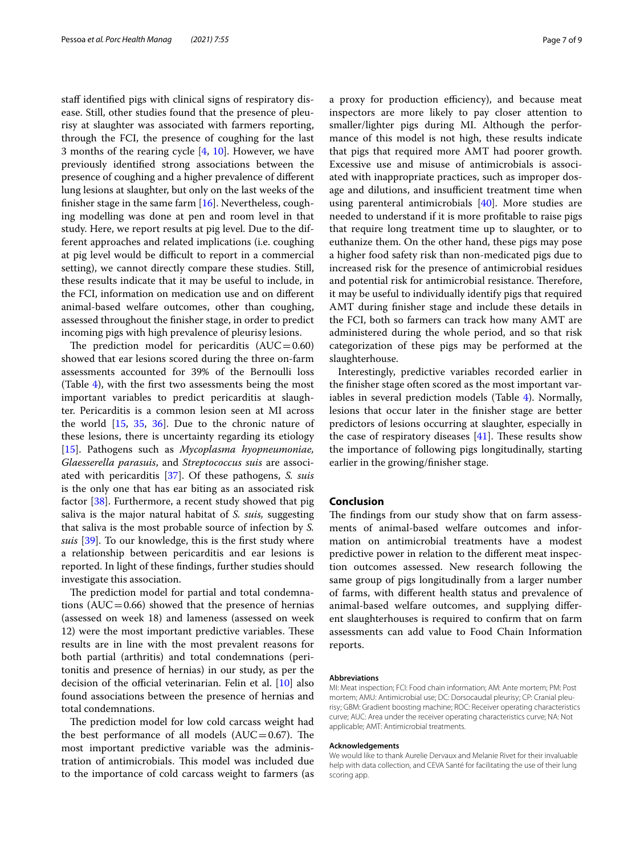staff identified pigs with clinical signs of respiratory disease. Still, other studies found that the presence of pleurisy at slaughter was associated with farmers reporting, through the FCI, the presence of coughing for the last 3 months of the rearing cycle [\[4](#page-7-3), [10\]](#page-7-7). However, we have previously identifed strong associations between the presence of coughing and a higher prevalence of diferent lung lesions at slaughter, but only on the last weeks of the finisher stage in the same farm  $[16]$  $[16]$ . Nevertheless, coughing modelling was done at pen and room level in that study. Here, we report results at pig level. Due to the different approaches and related implications (i.e. coughing at pig level would be difficult to report in a commercial setting), we cannot directly compare these studies. Still, these results indicate that it may be useful to include, in the FCI, information on medication use and on diferent animal-based welfare outcomes, other than coughing, assessed throughout the fnisher stage, in order to predict incoming pigs with high prevalence of pleurisy lesions.

The prediction model for pericarditis  $(AUC=0.60)$ showed that ear lesions scored during the three on-farm assessments accounted for 39% of the Bernoulli loss (Table [4](#page-5-0)), with the frst two assessments being the most important variables to predict pericarditis at slaughter. Pericarditis is a common lesion seen at MI across the world  $[15, 35, 36]$  $[15, 35, 36]$  $[15, 35, 36]$  $[15, 35, 36]$  $[15, 35, 36]$  $[15, 35, 36]$ . Due to the chronic nature of these lesions, there is uncertainty regarding its etiology [[15\]](#page-7-11). Pathogens such as *Mycoplasma hyopneumoniae, Glaesserella parasuis*, and *Streptococcus suis* are associated with pericarditis [\[37\]](#page-8-8). Of these pathogens, *S. suis* is the only one that has ear biting as an associated risk factor [\[38\]](#page-8-9). Furthermore, a recent study showed that pig saliva is the major natural habitat of *S. suis,* suggesting that saliva is the most probable source of infection by *S. suis* [\[39](#page-8-10)]. To our knowledge, this is the frst study where a relationship between pericarditis and ear lesions is reported. In light of these fndings, further studies should investigate this association.

The prediction model for partial and total condemnations ( $AUC=0.66$ ) showed that the presence of hernias (assessed on week 18) and lameness (assessed on week 12) were the most important predictive variables. These results are in line with the most prevalent reasons for both partial (arthritis) and total condemnations (peritonitis and presence of hernias) in our study, as per the decision of the official veterinarian. Felin et al.  $[10]$  also found associations between the presence of hernias and total condemnations.

The prediction model for low cold carcass weight had the best performance of all models  $(AUC=0.67)$ . The most important predictive variable was the administration of antimicrobials. This model was included due to the importance of cold carcass weight to farmers (as a proxy for production efficiency), and because meat inspectors are more likely to pay closer attention to smaller/lighter pigs during MI. Although the performance of this model is not high, these results indicate that pigs that required more AMT had poorer growth. Excessive use and misuse of antimicrobials is associated with inappropriate practices, such as improper dosage and dilutions, and insufficient treatment time when using parenteral antimicrobials [[40\]](#page-8-11). More studies are needed to understand if it is more proftable to raise pigs that require long treatment time up to slaughter, or to euthanize them. On the other hand, these pigs may pose a higher food safety risk than non-medicated pigs due to increased risk for the presence of antimicrobial residues and potential risk for antimicrobial resistance. Therefore, it may be useful to individually identify pigs that required AMT during fnisher stage and include these details in the FCI, both so farmers can track how many AMT are administered during the whole period, and so that risk categorization of these pigs may be performed at the slaughterhouse.

Interestingly, predictive variables recorded earlier in the fnisher stage often scored as the most important variables in several prediction models (Table [4\)](#page-5-0). Normally, lesions that occur later in the fnisher stage are better predictors of lesions occurring at slaughter, especially in the case of respiratory diseases  $[41]$  $[41]$ . These results show the importance of following pigs longitudinally, starting earlier in the growing/fnisher stage.

#### **Conclusion**

The findings from our study show that on farm assessments of animal-based welfare outcomes and information on antimicrobial treatments have a modest predictive power in relation to the diferent meat inspection outcomes assessed. New research following the same group of pigs longitudinally from a larger number of farms, with diferent health status and prevalence of animal-based welfare outcomes, and supplying diferent slaughterhouses is required to confrm that on farm assessments can add value to Food Chain Information reports.

#### **Abbreviations**

MI: Meat inspection; FCI: Food chain information; AM: Ante mortem; PM: Post mortem; AMU: Antimicrobial use; DC: Dorsocaudal pleurisy; CP: Cranial pleurisy; GBM: Gradient boosting machine; ROC: Receiver operating characteristics curve; AUC: Area under the receiver operating characteristics curve; NA: Not applicable; AMT: Antimicrobial treatments.

#### **Acknowledgements**

We would like to thank Aurelie Dervaux and Melanie Rivet for their invaluable help with data collection, and CEVA Santé for facilitating the use of their lung scoring app.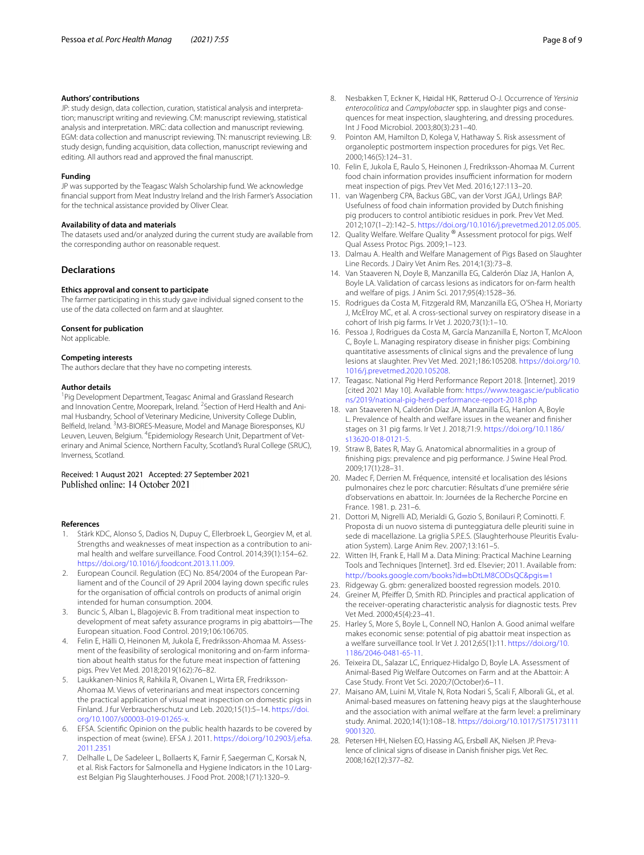#### **Authors' contributions**

JP: study design, data collection, curation, statistical analysis and interpretation; manuscript writing and reviewing. CM: manuscript reviewing, statistical analysis and interpretation. MRC: data collection and manuscript reviewing. EGM: data collection and manuscript reviewing. TN: manuscript reviewing. LB: study design, funding acquisition, data collection, manuscript reviewing and editing. All authors read and approved the fnal manuscript.

#### **Funding**

JP was supported by the Teagasc Walsh Scholarship fund. We acknowledge fnancial support from Meat Industry Ireland and the Irish Farmer's Association for the technical assistance provided by Oliver Clear.

#### **Availability of data and materials**

The datasets used and/or analyzed during the current study are available from the corresponding author on reasonable request.

#### **Declarations**

#### **Ethics approval and consent to participate**

The farmer participating in this study gave individual signed consent to the use of the data collected on farm and at slaughter.

#### **Consent for publication**

Not applicable.

#### **Competing interests**

The authors declare that they have no competing interests.

#### **Author details**

<sup>1</sup> Pig Development Department, Teagasc Animal and Grassland Research and Innovation Centre, Moorepark, Ireland. <sup>2</sup> Section of Herd Health and Animal Husbandry, School of Veterinary Medicine, University College Dublin, Belfield, Ireland. <sup>3</sup>M3-BIORES-Measure, Model and Manage Bioresponses, KU Leuven, Leuven, Belgium. <sup>4</sup>Epidemiology Research Unit, Department of Veterinary and Animal Science, Northern Faculty, Scotland's Rural College (SRUC), Inverness, Scotland.

# Received: 1 August 2021 Accepted: 27 September 2021

#### **References**

- <span id="page-7-0"></span>Stärk KDC, Alonso S, Dadios N, Dupuy C, Ellerbroek L, Georgiev M, et al. Strengths and weaknesses of meat inspection as a contribution to animal health and welfare surveillance. Food Control. 2014;39(1):154–62. [https://doi.org/10.1016/j.foodcont.2013.11.009.](https://doi.org/10.1016/j.foodcont.2013.11.009)
- <span id="page-7-1"></span>2. European Council. Regulation (EC) No. 854/2004 of the European Parliament and of the Council of 29 April 2004 laying down specifc rules for the organisation of official controls on products of animal origin intended for human consumption. 2004.
- <span id="page-7-2"></span>3. Buncic S, Alban L, Blagojevic B. From traditional meat inspection to development of meat safety assurance programs in pig abattoirs—The European situation. Food Control. 2019;106:106705.
- <span id="page-7-3"></span>4. Felin E, Hälli O, Heinonen M, Jukola E, Fredriksson-Ahomaa M. Assessment of the feasibility of serological monitoring and on-farm information about health status for the future meat inspection of fattening pigs. Prev Vet Med. 2018;2019(162):76–82.
- <span id="page-7-4"></span>5. Laukkanen-Ninios R, Rahkila R, Oivanen L, Wirta ER, Fredriksson-Ahomaa M. Views of veterinarians and meat inspectors concerning the practical application of visual meat inspection on domestic pigs in Finland. J fur Verbraucherschutz und Leb. 2020;15(1):5–14. [https://doi.](https://doi.org/10.1007/s00003-019-01265-x) [org/10.1007/s00003-019-01265-x.](https://doi.org/10.1007/s00003-019-01265-x)
- <span id="page-7-5"></span>6. EFSA. Scientifc Opinion on the public health hazards to be covered by inspection of meat (swine). EFSA J. 2011. [https://doi.org/10.2903/j.efsa.](https://doi.org/10.2903/j.efsa.2011.2351) [2011.2351](https://doi.org/10.2903/j.efsa.2011.2351)
- 7. Delhalle L, De Sadeleer L, Bollaerts K, Farnir F, Saegerman C, Korsak N, et al. Risk Factors for Salmonella and Hygiene Indicators in the 10 Largest Belgian Pig Slaughterhouses. J Food Prot. 2008;1(71):1320–9.
- 8. Nesbakken T, Eckner K, Høidal HK, Røtterud O-J. Occurrence of *Yersinia enterocolitica* and *Campylobacter* spp. in slaughter pigs and consequences for meat inspection, slaughtering, and dressing procedures. Int J Food Microbiol. 2003;80(3):231–40.
- <span id="page-7-6"></span>9. Pointon AM, Hamilton D, Kolega V, Hathaway S. Risk assessment of organoleptic postmortem inspection procedures for pigs. Vet Rec. 2000;146(5):124–31.
- <span id="page-7-7"></span>10. Felin E, Jukola E, Raulo S, Heinonen J, Fredriksson-Ahomaa M. Current food chain information provides insufficient information for modern meat inspection of pigs. Prev Vet Med. 2016;127:113–20.
- <span id="page-7-8"></span>11. van Wagenberg CPA, Backus GBC, van der Vorst JGAJ, Urlings BAP. Usefulness of food chain information provided by Dutch fnishing pig producers to control antibiotic residues in pork. Prev Vet Med. 2012;107(1–2):142–5. <https://doi.org/10.1016/j.prevetmed.2012.05.005>.
- 12. Quality Welfare. Welfare Quality ® Assessment protocol for pigs. Welf Qual Assess Protoc Pigs. 2009;1–123.
- <span id="page-7-9"></span>13. Dalmau A. Health and Welfare Management of Pigs Based on Slaughter Line Records. J Dairy Vet Anim Res. 2014;1(3):73–8.
- <span id="page-7-10"></span>14. Van Staaveren N, Doyle B, Manzanilla EG, Calderón Díaz JA, Hanlon A, Boyle LA. Validation of carcass lesions as indicators for on-farm health and welfare of pigs. J Anim Sci. 2017;95(4):1528–36.
- <span id="page-7-11"></span>15. Rodrigues da Costa M, Fitzgerald RM, Manzanilla EG, O'Shea H, Moriarty J, McElroy MC, et al. A cross-sectional survey on respiratory disease in a cohort of Irish pig farms. Ir Vet J. 2020;73(1):1–10.
- <span id="page-7-12"></span>16. Pessoa J, Rodrigues da Costa M, García Manzanilla E, Norton T, McAloon C, Boyle L. Managing respiratory disease in fnisher pigs: Combining quantitative assessments of clinical signs and the prevalence of lung lesions at slaughter. Prev Vet Med. 2021;186:105208. [https://doi.org/10.](https://doi.org/10.1016/j.prevetmed.2020.105208) [1016/j.prevetmed.2020.105208.](https://doi.org/10.1016/j.prevetmed.2020.105208)
- <span id="page-7-13"></span>17. Teagasc. National Pig Herd Performance Report 2018. [Internet]. 2019 [cited 2021 May 10]. Available from: [https://www.teagasc.ie/publicatio](https://www.teagasc.ie/publications/2019/national-pig-herd-performance-report-2018.php) [ns/2019/national-pig-herd-performance-report-2018.php](https://www.teagasc.ie/publications/2019/national-pig-herd-performance-report-2018.php)
- <span id="page-7-18"></span>18. van Staaveren N, Calderón Díaz JA, Manzanilla EG, Hanlon A, Boyle L. Prevalence of health and welfare issues in the weaner and fnisher stages on 31 pig farms. Ir Vet J. 2018;71:9. [https://doi.org/10.1186/](https://doi.org/10.1186/s13620-018-0121-5) [s13620-018-0121-5.](https://doi.org/10.1186/s13620-018-0121-5)
- <span id="page-7-17"></span>19. Straw B, Bates R, May G. Anatomical abnormalities in a group of fnishing pigs: prevalence and pig performance. J Swine Heal Prod. 2009;17(1):28–31.
- 20. Madec F, Derrien M. Fréquence, intensité et localisation des lésions pulmonaires chez le porc charcutier: Résultats d'une premiére série d'observations en abattoir. In: Journées de la Recherche Porcine en France. 1981. p. 231–6.
- <span id="page-7-14"></span>21. Dottori M, Nigrelli AD, Merialdi G, Gozio S, Bonilauri P, Cominotti. F. Proposta di un nuovo sistema di punteggiatura delle pleuriti suine in sede di macellazione. La griglia S.P.E.S. (Slaughterhouse Pleuritis Evaluation System). Large Anim Rev. 2007;13:161–5.
- <span id="page-7-15"></span>22. Witten IH, Frank E, Hall M a. Data Mining: Practical Machine Learning Tools and Techniques [Internet]. 3rd ed. Elsevier; 2011. Available from: [http://books.google.com/books?id](http://books.google.com/books?id=bDtLM8CODsQC&pgis=1)=bDtLM8CODsQC&pgis=1
- <span id="page-7-16"></span>23. Ridgeway G. gbm: generalized boosted regression models. 2010.
- 24. Greiner M, Pfeifer D, Smith RD. Principles and practical application of the receiver-operating characteristic analysis for diagnostic tests. Prev Vet Med. 2000;45(4):23–41.
- <span id="page-7-19"></span>25. Harley S, More S, Boyle L, Connell NO, Hanlon A. Good animal welfare makes economic sense: potential of pig abattoir meat inspection as a welfare surveillance tool. Ir Vet J. 2012;65(1):11. [https://doi.org/10.](https://doi.org/10.1186/2046-0481-65-11) [1186/2046-0481-65-11.](https://doi.org/10.1186/2046-0481-65-11)
- <span id="page-7-20"></span>26. Teixeira DL, Salazar LC, Enriquez-Hidalgo D, Boyle LA. Assessment of Animal-Based Pig Welfare Outcomes on Farm and at the Abattoir: A Case Study. Front Vet Sci. 2020;7(October):6–11.
- <span id="page-7-21"></span>27. Maisano AM, Luini M, Vitale N, Rota Nodari S, Scali F, Alborali GL, et al. Animal-based measures on fattening heavy pigs at the slaughterhouse and the association with animal welfare at the farm level: a preliminary study. Animal. 2020;14(1):108–18. [https://doi.org/10.1017/S175173111](https://doi.org/10.1017/S1751731119001320) [9001320](https://doi.org/10.1017/S1751731119001320).
- <span id="page-7-22"></span>28. Petersen HH, Nielsen EO, Hassing AG, Ersbøll AK, Nielsen JP. Prevalence of clinical signs of disease in Danish fnisher pigs. Vet Rec. 2008;162(12):377–82.